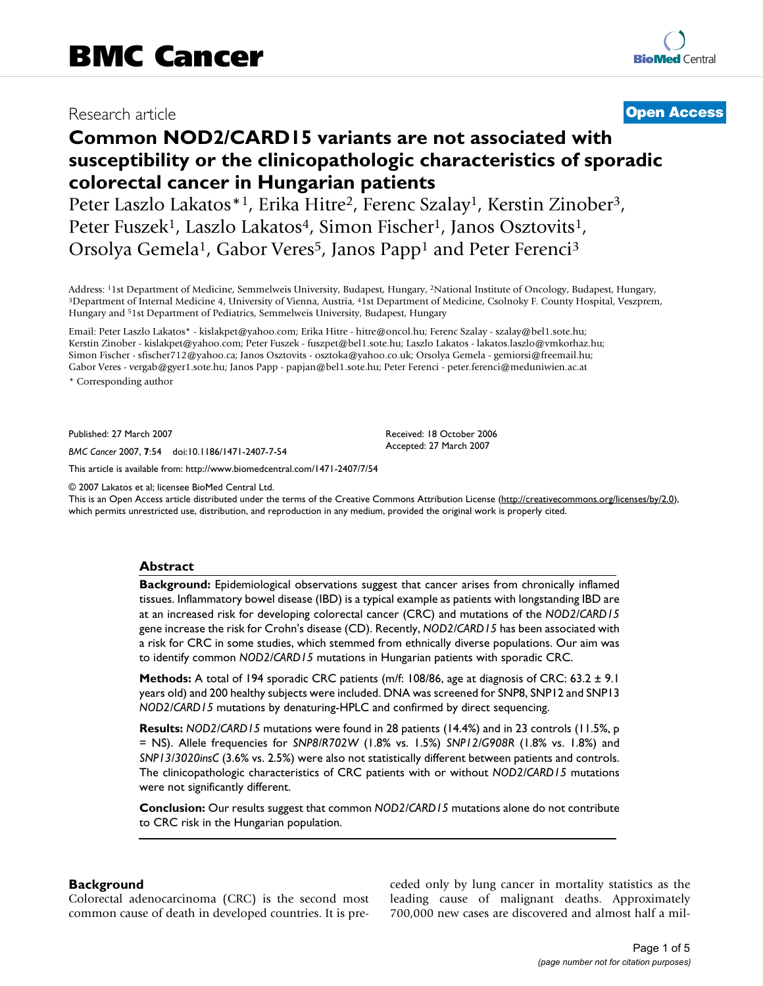## Research article **[Open Access](http://www.biomedcentral.com/info/about/charter/)**

# **Common NOD2/CARD15 variants are not associated with susceptibility or the clinicopathologic characteristics of sporadic colorectal cancer in Hungarian patients**

Peter Laszlo Lakatos\*<sup>1</sup>, Erika Hitre<sup>2</sup>, Ferenc Szalay<sup>1</sup>, Kerstin Zinober<sup>3</sup>, Peter Fuszek<sup>1</sup>, Laszlo Lakatos<sup>4</sup>, Simon Fischer<sup>1</sup>, Janos Osztovits<sup>1</sup>, Orsolya Gemela<sup>1</sup>, Gabor Veres<sup>5</sup>, Janos Papp<sup>1</sup> and Peter Ferenci<sup>3</sup>

Address: <sup>1</sup>1st Department of Medicine, Semmelweis University, Budapest, Hungary, <sup>2</sup>National Institute of Oncology, Budapest, Hungary,<br><sup>3</sup>Department of Internal Medicine 4, University of Vienna, Austria, <sup>4</sup>1st Department Hungary and 51st Department of Pediatrics, Semmelweis University, Budapest, Hungary

Email: Peter Laszlo Lakatos\* - kislakpet@yahoo.com; Erika Hitre - hitre@oncol.hu; Ferenc Szalay - szalay@bel1.sote.hu; Kerstin Zinober - kislakpet@yahoo.com; Peter Fuszek - fuszpet@bel1.sote.hu; Laszlo Lakatos - lakatos.laszlo@vmkorhaz.hu; Simon Fischer - sfischer712@yahoo.ca; Janos Osztovits - osztoka@yahoo.co.uk; Orsolya Gemela - gemiorsi@freemail.hu; Gabor Veres - vergab@gyer1.sote.hu; Janos Papp - papjan@bel1.sote.hu; Peter Ferenci - peter.ferenci@meduniwien.ac.at \* Corresponding author

Published: 27 March 2007

*BMC Cancer* 2007, **7**:54 doi:10.1186/1471-2407-7-54

[This article is available from: http://www.biomedcentral.com/1471-2407/7/54](http://www.biomedcentral.com/1471-2407/7/54)

© 2007 Lakatos et al; licensee BioMed Central Ltd.

This is an Open Access article distributed under the terms of the Creative Commons Attribution License [\(http://creativecommons.org/licenses/by/2.0\)](http://creativecommons.org/licenses/by/2.0), which permits unrestricted use, distribution, and reproduction in any medium, provided the original work is properly cited.

Received: 18 October 2006 Accepted: 27 March 2007

#### **Abstract**

**Background:** Epidemiological observations suggest that cancer arises from chronically inflamed tissues. Inflammatory bowel disease (IBD) is a typical example as patients with longstanding IBD are at an increased risk for developing colorectal cancer (CRC) and mutations of the *NOD2/CARD15* gene increase the risk for Crohn's disease (CD). Recently, *NOD2/CARD15* has been associated with a risk for CRC in some studies, which stemmed from ethnically diverse populations. Our aim was to identify common *NOD2/CARD15* mutations in Hungarian patients with sporadic CRC.

**Methods:** A total of 194 sporadic CRC patients (m/f: 108/86, age at diagnosis of CRC: 63.2 ± 9.1 years old) and 200 healthy subjects were included. DNA was screened for SNP8, SNP12 and SNP13 *NOD2/CARD15* mutations by denaturing-HPLC and confirmed by direct sequencing.

**Results:** *NOD2/CARD15* mutations were found in 28 patients (14.4%) and in 23 controls (11.5%, p = NS). Allele frequencies for *SNP8/R702W* (1.8% vs. 1.5%) *SNP12/G908R* (1.8% vs. 1.8%) and *SNP13/3020insC* (3.6% vs. 2.5%) were also not statistically different between patients and controls. The clinicopathologic characteristics of CRC patients with or without *NOD2/CARD15* mutations were not significantly different.

**Conclusion:** Our results suggest that common *NOD2/CARD15* mutations alone do not contribute to CRC risk in the Hungarian population.

## **Background**

Colorectal adenocarcinoma (CRC) is the second most common cause of death in developed countries. It is preceded only by lung cancer in mortality statistics as the leading cause of malignant deaths. Approximately 700,000 new cases are discovered and almost half a mil-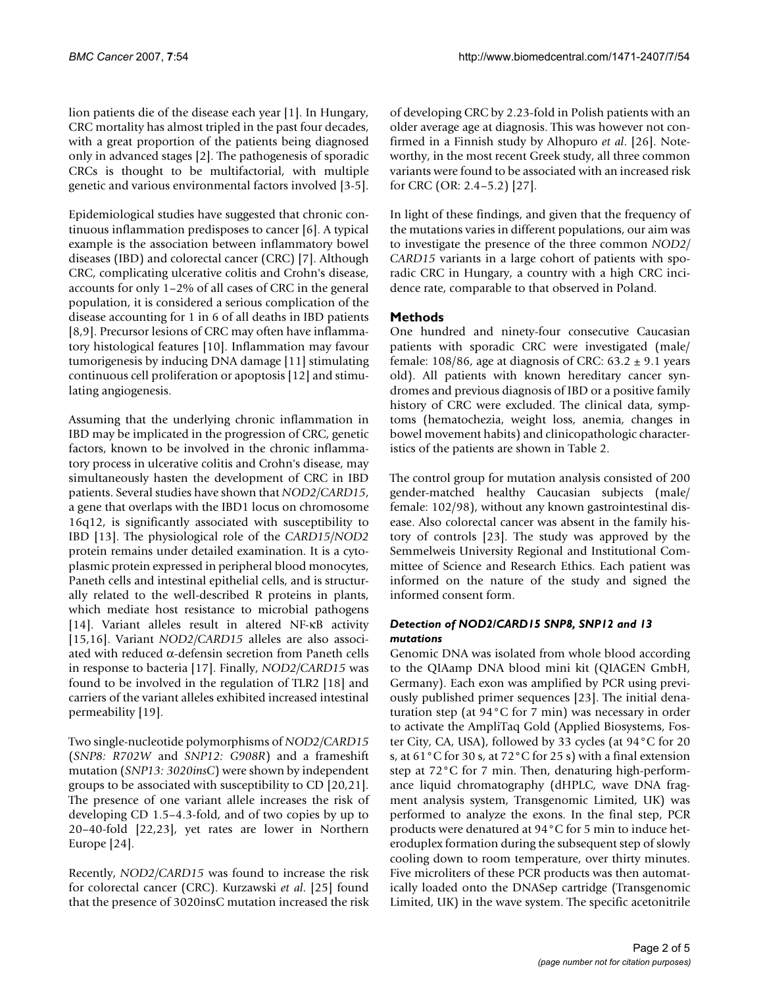lion patients die of the disease each year [1]. In Hungary, CRC mortality has almost tripled in the past four decades, with a great proportion of the patients being diagnosed only in advanced stages [2]. The pathogenesis of sporadic CRCs is thought to be multifactorial, with multiple genetic and various environmental factors involved [3-5].

Epidemiological studies have suggested that chronic continuous inflammation predisposes to cancer [6]. A typical example is the association between inflammatory bowel diseases (IBD) and colorectal cancer (CRC) [7]. Although CRC, complicating ulcerative colitis and Crohn's disease, accounts for only 1–2% of all cases of CRC in the general population, it is considered a serious complication of the disease accounting for 1 in 6 of all deaths in IBD patients [8,9]. Precursor lesions of CRC may often have inflammatory histological features [10]. Inflammation may favour tumorigenesis by inducing DNA damage [11] stimulating continuous cell proliferation or apoptosis [12] and stimulating angiogenesis.

Assuming that the underlying chronic inflammation in IBD may be implicated in the progression of CRC, genetic factors, known to be involved in the chronic inflammatory process in ulcerative colitis and Crohn's disease, may simultaneously hasten the development of CRC in IBD patients. Several studies have shown that *NOD2/CARD15*, a gene that overlaps with the IBD1 locus on chromosome 16q12, is significantly associated with susceptibility to IBD [13]. The physiological role of the *CARD15/NOD2* protein remains under detailed examination. It is a cytoplasmic protein expressed in peripheral blood monocytes, Paneth cells and intestinal epithelial cells, and is structurally related to the well-described R proteins in plants, which mediate host resistance to microbial pathogens [14]. Variant alleles result in altered NF-κB activity [15,16]. Variant *NOD2/CARD15* alleles are also associated with reduced α-defensin secretion from Paneth cells in response to bacteria [17]. Finally, *NOD2/CARD15* was found to be involved in the regulation of TLR2 [18] and carriers of the variant alleles exhibited increased intestinal permeability [19].

Two single-nucleotide polymorphisms of *NOD2/CARD15* (*SNP8: R702W* and *SNP12: G908R*) and a frameshift mutation (*SNP13: 3020insC*) were shown by independent groups to be associated with susceptibility to CD [20,21]. The presence of one variant allele increases the risk of developing CD 1.5–4.3-fold, and of two copies by up to 20–40-fold [22,23], yet rates are lower in Northern Europe [24].

Recently, *NOD2/CARD15* was found to increase the risk for colorectal cancer (CRC). Kurzawski *et al*. [25] found that the presence of 3020insC mutation increased the risk of developing CRC by 2.23-fold in Polish patients with an older average age at diagnosis. This was however not confirmed in a Finnish study by Alhopuro *et al*. [26]. Noteworthy, in the most recent Greek study, all three common variants were found to be associated with an increased risk for CRC (OR: 2.4–5.2) [27].

In light of these findings, and given that the frequency of the mutations varies in different populations, our aim was to investigate the presence of the three common *NOD2/ CARD15* variants in a large cohort of patients with sporadic CRC in Hungary, a country with a high CRC incidence rate, comparable to that observed in Poland.

## **Methods**

One hundred and ninety-four consecutive Caucasian patients with sporadic CRC were investigated (male/ female: 108/86, age at diagnosis of CRC:  $63.2 \pm 9.1$  years old). All patients with known hereditary cancer syndromes and previous diagnosis of IBD or a positive family history of CRC were excluded. The clinical data, symptoms (hematochezia, weight loss, anemia, changes in bowel movement habits) and clinicopathologic characteristics of the patients are shown in Table 2.

The control group for mutation analysis consisted of 200 gender-matched healthy Caucasian subjects (male/ female: 102/98), without any known gastrointestinal disease. Also colorectal cancer was absent in the family history of controls [23]. The study was approved by the Semmelweis University Regional and Institutional Committee of Science and Research Ethics. Each patient was informed on the nature of the study and signed the informed consent form.

## *Detection of NOD2/CARD15 SNP8, SNP12 and 13 mutations*

Genomic DNA was isolated from whole blood according to the QIAamp DNA blood mini kit (QIAGEN GmbH, Germany). Each exon was amplified by PCR using previously published primer sequences [23]. The initial denaturation step (at 94°C for 7 min) was necessary in order to activate the AmpliTaq Gold (Applied Biosystems, Foster City, CA, USA), followed by 33 cycles (at 94°C for 20 s, at 61°C for 30 s, at 72°C for 25 s) with a final extension step at 72°C for 7 min. Then, denaturing high-performance liquid chromatography (dHPLC, wave DNA fragment analysis system, Transgenomic Limited, UK) was performed to analyze the exons. In the final step, PCR products were denatured at 94°C for 5 min to induce heteroduplex formation during the subsequent step of slowly cooling down to room temperature, over thirty minutes. Five microliters of these PCR products was then automatically loaded onto the DNASep cartridge (Transgenomic Limited, UK) in the wave system. The specific acetonitrile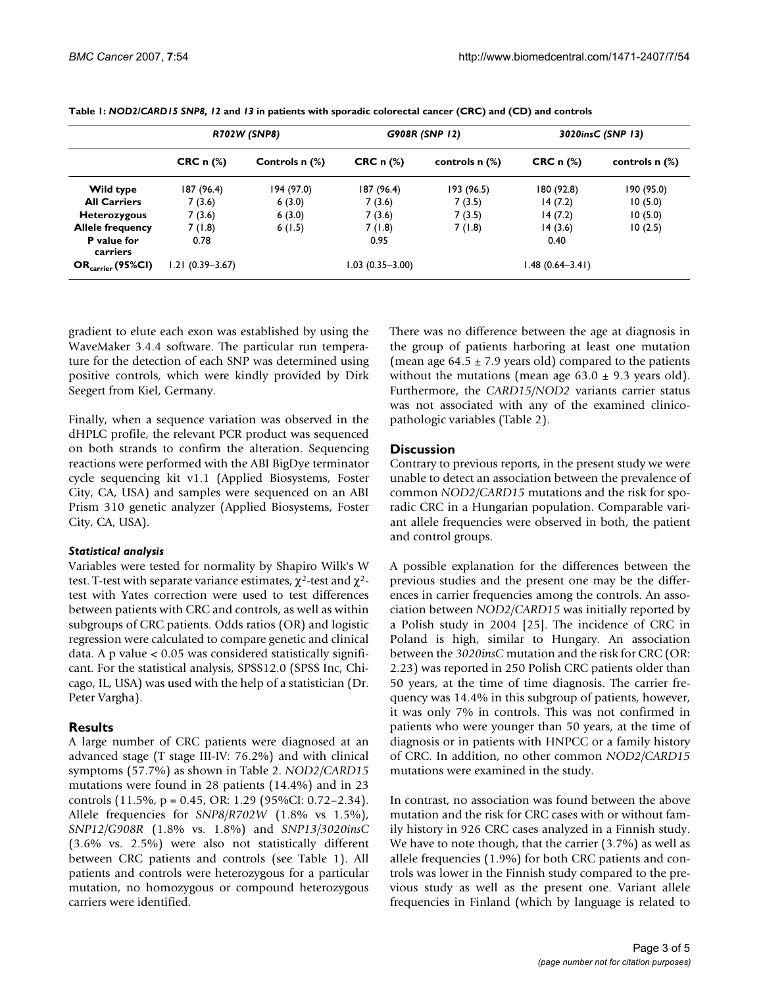|                                | <b>R702W (SNP8)</b> |                | G908R (SNP 12)   |                  | 3020insC (SNP 13)          |                  |
|--------------------------------|---------------------|----------------|------------------|------------------|----------------------------|------------------|
|                                | $CRC \n  n$ $(*)$   | Controls n (%) | CRC $n$ $%$      | controls $n$ $%$ | $CRC \n  n$ $\binom{%}{n}$ | controls $n$ $%$ |
| Wild type                      | 187 (96.4)          | 194 (97.0)     | 187 (96.4)       | 193 (96.5)       | 180 (92.8)                 | 190 (95.0)       |
| <b>All Carriers</b>            | 7(3.6)              | 6(3.0)         | 7(3.6)           | 7(3.5)           | 14(7.2)                    | 10(5.0)          |
| <b>Heterozygous</b>            | 7(3.6)              | 6(3.0)         | 7(3.6)           | 7(3.5)           | 14(7.2)                    | 10(5.0)          |
| <b>Allele frequency</b>        | 7(1.8)              | 6(1.5)         | 7(1.8)           | 7(1.8)           | 14(3.6)                    | 10(2.5)          |
| <b>P</b> value for<br>carriers | 0.78                |                | 0.95             |                  | 0.40                       |                  |
| $OR_{\text{carrier}}$ (95%CI)  | 1.21 (0.39–3.67)    |                | I.03 (0.35–3.00) |                  | l.48 (0.64–3.41)           |                  |

**Table 1:** *NOD2/CARD15 SNP8, 12* **and** *13* **in patients with sporadic colorectal cancer (CRC) and (CD) and controls**

gradient to elute each exon was established by using the WaveMaker 3.4.4 software. The particular run temperature for the detection of each SNP was determined using positive controls, which were kindly provided by Dirk Seegert from Kiel, Germany.

Finally, when a sequence variation was observed in the dHPLC profile, the relevant PCR product was sequenced on both strands to confirm the alteration. Sequencing reactions were performed with the ABI BigDye terminator cycle sequencing kit v1.1 (Applied Biosystems, Foster City, CA, USA) and samples were sequenced on an ABI Prism 310 genetic analyzer (Applied Biosystems, Foster City, CA, USA).

## *Statistical analysis*

Variables were tested for normality by Shapiro Wilk's W test. T-test with separate variance estimates,  $\chi^2$ -test and  $\chi^2$ test with Yates correction were used to test differences between patients with CRC and controls, as well as within subgroups of CRC patients. Odds ratios (OR) and logistic regression were calculated to compare genetic and clinical data. A p value < 0.05 was considered statistically significant. For the statistical analysis, SPSS12.0 (SPSS Inc, Chicago, IL, USA) was used with the help of a statistician (Dr. Peter Vargha).

## **Results**

A large number of CRC patients were diagnosed at an advanced stage (T stage III-IV: 76.2%) and with clinical symptoms (57.7%) as shown in Table 2. *NOD2/CARD15* mutations were found in 28 patients (14.4%) and in 23 controls (11.5%, p = 0.45, OR: 1.29 (95%CI: 0.72–2.34). Allele frequencies for *SNP8/R702W* (1.8% vs 1.5%), *SNP12/G908R* (1.8% vs. 1.8%) and *SNP13/3020insC* (3.6% vs. 2.5%) were also not statistically different between CRC patients and controls (see Table 1). All patients and controls were heterozygous for a particular mutation, no homozygous or compound heterozygous carriers were identified.

There was no difference between the age at diagnosis in the group of patients harboring at least one mutation (mean age  $64.5 \pm 7.9$  years old) compared to the patients without the mutations (mean age  $63.0 \pm 9.3$  years old). Furthermore, the *CARD15/NOD2* variants carrier status was not associated with any of the examined clinicopathologic variables (Table 2).

## **Discussion**

Contrary to previous reports, in the present study we were unable to detect an association between the prevalence of common *NOD2/CARD15* mutations and the risk for sporadic CRC in a Hungarian population. Comparable variant allele frequencies were observed in both, the patient and control groups.

A possible explanation for the differences between the previous studies and the present one may be the differences in carrier frequencies among the controls. An association between *NOD2/CARD15* was initially reported by a Polish study in 2004 [25]. The incidence of CRC in Poland is high, similar to Hungary. An association between the *3020insC* mutation and the risk for CRC (OR: 2.23) was reported in 250 Polish CRC patients older than 50 years, at the time of time diagnosis. The carrier frequency was 14.4% in this subgroup of patients, however, it was only 7% in controls. This was not confirmed in patients who were younger than 50 years, at the time of diagnosis or in patients with HNPCC or a family history of CRC. In addition, no other common *NOD2/CARD15* mutations were examined in the study.

In contrast, no association was found between the above mutation and the risk for CRC cases with or without family history in 926 CRC cases analyzed in a Finnish study. We have to note though, that the carrier (3.7%) as well as allele frequencies (1.9%) for both CRC patients and controls was lower in the Finnish study compared to the previous study as well as the present one. Variant allele frequencies in Finland (which by language is related to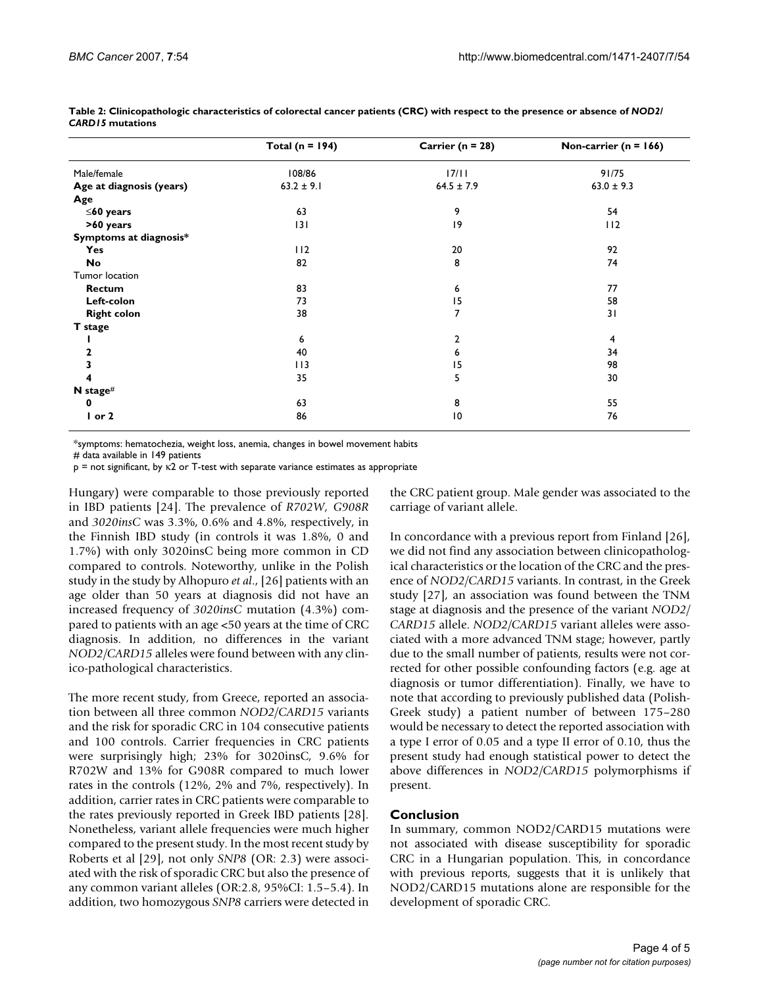|                          | Total ( $n = 194$ ) | Carrier ( $n = 28$ ) | Non-carrier ( $n = 166$ ) |
|--------------------------|---------------------|----------------------|---------------------------|
| Male/female              | 108/86              | 17/11                | 91/75                     |
| Age at diagnosis (years) | $63.2 \pm 9.1$      | $64.5 \pm 7.9$       | $63.0 \pm 9.3$            |
| Age                      |                     |                      |                           |
| $\leq$ 60 years          | 63                  | 9                    | 54                        |
| >60 years                | 3                   | 9                    | 112                       |
| Symptoms at diagnosis*   |                     |                      |                           |
| Yes                      | 112                 | 20                   | 92                        |
| No                       | 82                  | 8                    | 74                        |
| Tumor location           |                     |                      |                           |
| Rectum                   | 83                  | 6                    | 77                        |
| Left-colon               | 73                  | 15                   | 58                        |
| <b>Right colon</b>       | 38                  | 7                    | 31                        |
| T stage                  |                     |                      |                           |
|                          | 6                   | $\overline{2}$       | 4                         |
|                          | 40                  | 6                    | 34                        |
|                          | 113                 | 15                   | 98                        |
|                          | 35                  | 5                    | 30                        |
| N stage#                 |                     |                      |                           |
| 0                        | 63                  | 8                    | 55                        |
| $I$ or $2$               | 86                  | 10                   | 76                        |

**Table 2: Clinicopathologic characteristics of colorectal cancer patients (CRC) with respect to the presence or absence of** *NOD2/ CARD15* **mutations**

\*symptoms: hematochezia, weight loss, anemia, changes in bowel movement habits

# data available in 149 patients

p = not significant, by κ2 or T-test with separate variance estimates as appropriate

Hungary) were comparable to those previously reported in IBD patients [24]. The prevalence of *R702W, G908R* and *3020insC* was 3.3%, 0.6% and 4.8%, respectively, in the Finnish IBD study (in controls it was 1.8%, 0 and 1.7%) with only 3020insC being more common in CD compared to controls. Noteworthy, unlike in the Polish study in the study by Alhopuro *et al*., [26] patients with an age older than 50 years at diagnosis did not have an increased frequency of *3020insC* mutation (4.3%) compared to patients with an age <50 years at the time of CRC diagnosis. In addition, no differences in the variant *NOD2/CARD15* alleles were found between with any clinico-pathological characteristics.

The more recent study, from Greece, reported an association between all three common *NOD2/CARD15* variants and the risk for sporadic CRC in 104 consecutive patients and 100 controls. Carrier frequencies in CRC patients were surprisingly high; 23% for 3020insC, 9.6% for R702W and 13% for G908R compared to much lower rates in the controls (12%, 2% and 7%, respectively). In addition, carrier rates in CRC patients were comparable to the rates previously reported in Greek IBD patients [28]. Nonetheless, variant allele frequencies were much higher compared to the present study. In the most recent study by Roberts et al [29], not only *SNP8* (OR: 2.3) were associated with the risk of sporadic CRC but also the presence of any common variant alleles (OR:2.8, 95%CI: 1.5–5.4). In addition, two homozygous *SNP8* carriers were detected in the CRC patient group. Male gender was associated to the carriage of variant allele.

In concordance with a previous report from Finland [26], we did not find any association between clinicopathological characteristics or the location of the CRC and the presence of *NOD2/CARD15* variants. In contrast, in the Greek study [27], an association was found between the TNM stage at diagnosis and the presence of the variant *NOD2/ CARD15* allele. *NOD2/CARD15* variant alleles were associated with a more advanced TNM stage; however, partly due to the small number of patients, results were not corrected for other possible confounding factors (e.g. age at diagnosis or tumor differentiation). Finally, we have to note that according to previously published data (Polish-Greek study) a patient number of between 175–280 would be necessary to detect the reported association with a type I error of 0.05 and a type II error of 0.10, thus the present study had enough statistical power to detect the above differences in *NOD2/CARD15* polymorphisms if present.

## **Conclusion**

In summary, common NOD2/CARD15 mutations were not associated with disease susceptibility for sporadic CRC in a Hungarian population. This, in concordance with previous reports, suggests that it is unlikely that NOD2/CARD15 mutations alone are responsible for the development of sporadic CRC.